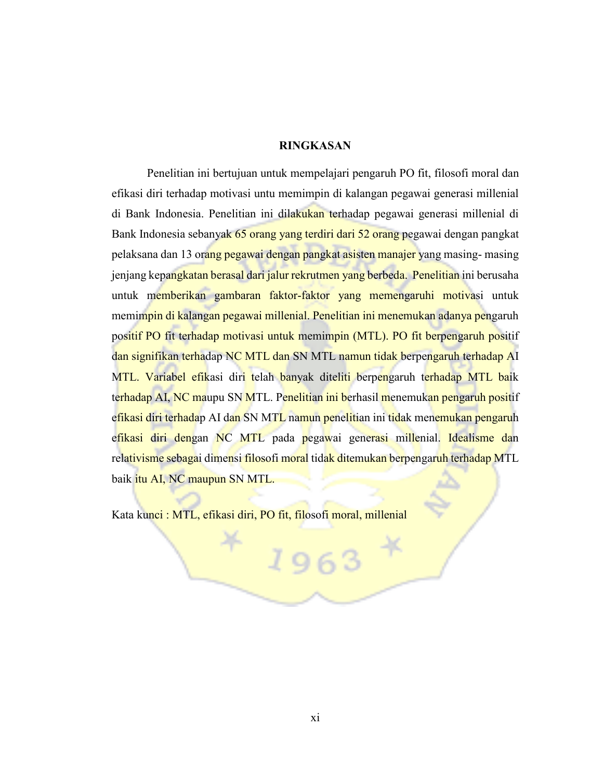## **RINGKASAN**

Penelitian ini bertujuan untuk mempelajari pengaruh PO fit, filosofi moral dan efikasi diri terhadap motivasi untu memimpin di kalangan pegawai generasi millenial di Bank Indonesia. Penelitian ini dilakukan terhadap pegawai generasi millenial di Bank Indonesia sebanyak 65 orang yang terdiri dari 52 orang pegawai dengan pangkat pelaksana dan 13 orang pegawai dengan pangkat asisten manajer yang masing- masing jenjang kepangkatan berasal dari jalur rekrutmen yang berbeda. Penelitian ini berusaha untuk memberikan gambaran faktor-faktor yang memengaruhi motivasi untuk memimpin di kalangan pegawai millenial. Penelitian ini menemukan adanya pengaruh positif PO fit terhadap motivasi untuk memimpin (MTL). PO fit berpengaruh positif dan signifikan terhadap NC MTL dan SN MTL namun tidak berpengaruh terhadap AI MTL. Variabel efikasi diri telah banyak diteliti berpengaruh terhadap MTL baik terhadap AI, NC maupu SN MTL. Penelitian ini berhasil menemukan pengaruh positif efikasi diri terhadap AI dan SN MTL namun penelitian ini tidak menemukan pengaruh efikasi diri dengan NC MTL pada pegawai generasi millenial. Idealisme dan relativisme sebagai dimensi filosofi moral tidak ditemukan berpengaruh terhadap MTL baik itu AI, NC maupun SN MTL.

Kata kunci : MTL, efikasi diri, PO fit, filosofi moral, millenial

1963